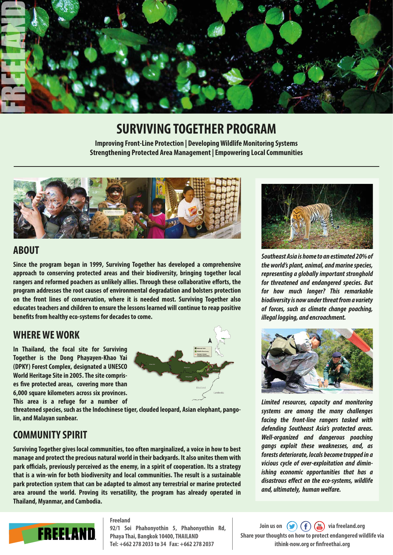

## **SURVIVING TOGETHER PROGRAM**

**Improving Front-Line Protection | Developing Wildlife Monitoring Systems Strengthening Protected Area Management | Empowering Local Communities**



#### **ABOUT**

**Since the program began in 1999, Surviving Together has developed a comprehensive approach to conserving protected areas and their biodiversity, bringing together local**  rangers and reformed poachers as unlikely allies. Through these collaborative efforts, the **program addresses the root causes of environmental degradation and bolsters protection on the front lines of conservation, where it is needed most. Surviving Together also educates teachers and children to ensure the lessons learned will continue to reap positive**  benefits from healthy eco-systems for decades to come.

#### **WHERE WE WORK**

**In Thailand, the focal site for Surviving Together is the Dong Phayayen-Khao Yai (DPKY) Forest Complex, designated a UNESCO World Heritage Site in 2005. The site compris**es five protected areas, covering more than **6,000 square kilometers across six provinces. This area is a refuge for a number of** 



**threatened species, such as the Indochinese tiger, clouded leopard, Asian elephant, pangolin, and Malayan sunbear.**

### **COMMUNITY SPIRIT**

**Surviving Together gives local communities, too often marginalized, a voice in how to best manage and protect the precious natural world in their backyards. It also unites them with**  park officials, previously perceived as the enemy, in a spirit of cooperation. Its a strategy **that is a win-win for both biodiversity and local communities. The result is a sustainable park protection system that can be adapted to almost any terrestrial or marine protected area around the world. Proving its versatility, the program has already operated in Thailand, Myanmar, and Cambodia.**



#### **Freeland**

**92/1 Soi Phahonyothin 5, Phahonyothin Rd, Phaya Thai, Bangkok 10400, THAILAND Tel: +662 278 2033 to 34 Fax: +662 278 2037** 



*Southeast Asia is home to an estimated 20% of the world's plant, animal, and marine species, representing a globally important stronghold for threatened and endangered species. But for how much longer? This remarkable biodiversity is now under threat from a variety of forces, such as climate change poaching, illegal logging, and encroachment.*



*Limited resources, capacity and monitoring systems are among the many challenges facing the front-line rangers tasked with defending Southeast Asia's protected areas. Well-organized and dangerous poaching gangs exploit these weaknesses, and, as forests deteriorate, locals become trapped in a vicious cycle of over-exploitation and diminishing economic opportunities that has a*  disastrous effect on the eco-systems, wildlife *and, ultimately, human welfare.* 

Join us on **v**) **(f)** (i) via freeland.org **Share your thoughts on how to protect endangered wildlife via ithink-now.org or nfreethai.org**